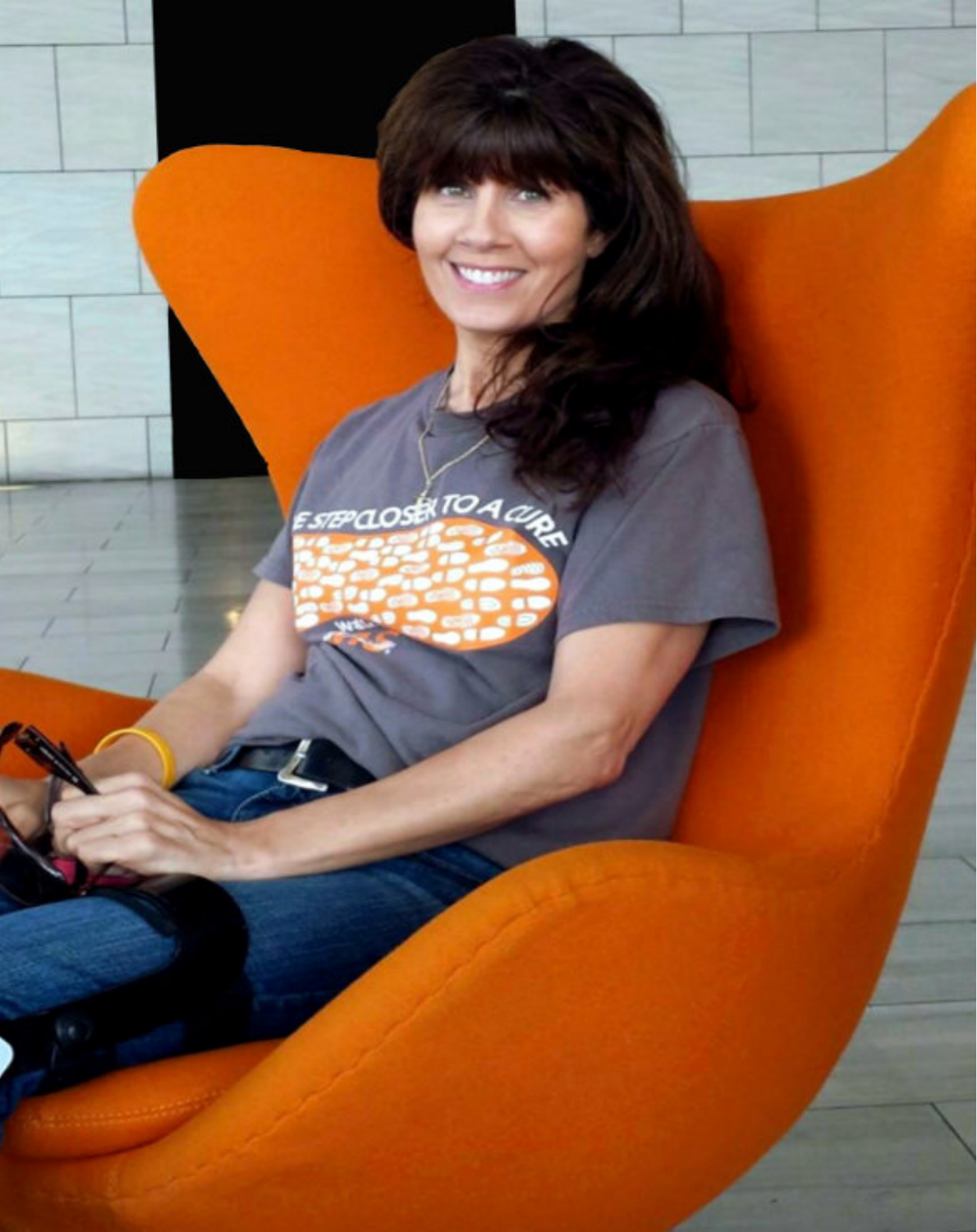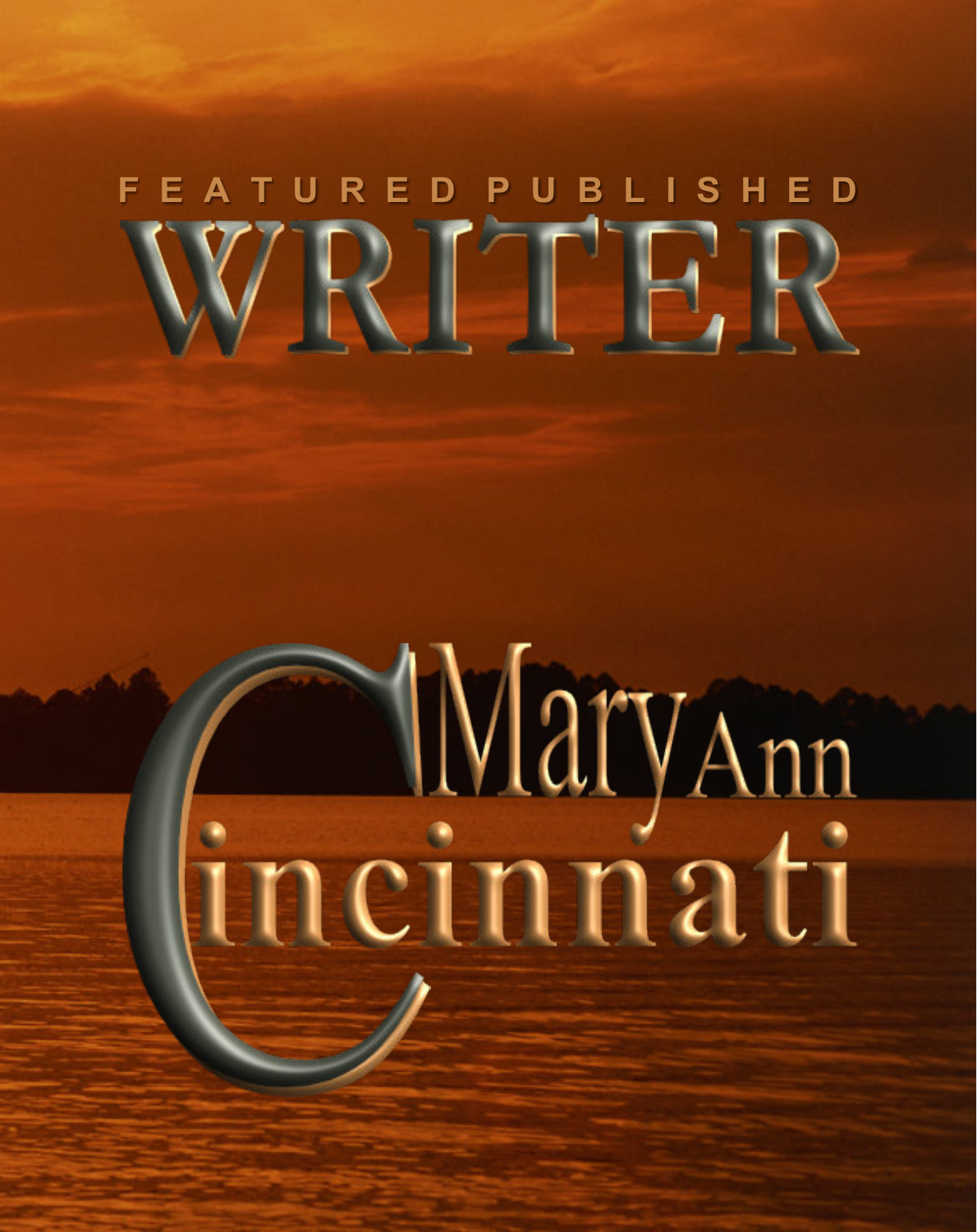## **F E A T U R E D P U B L I S H E D**

## WaryAnn incinnati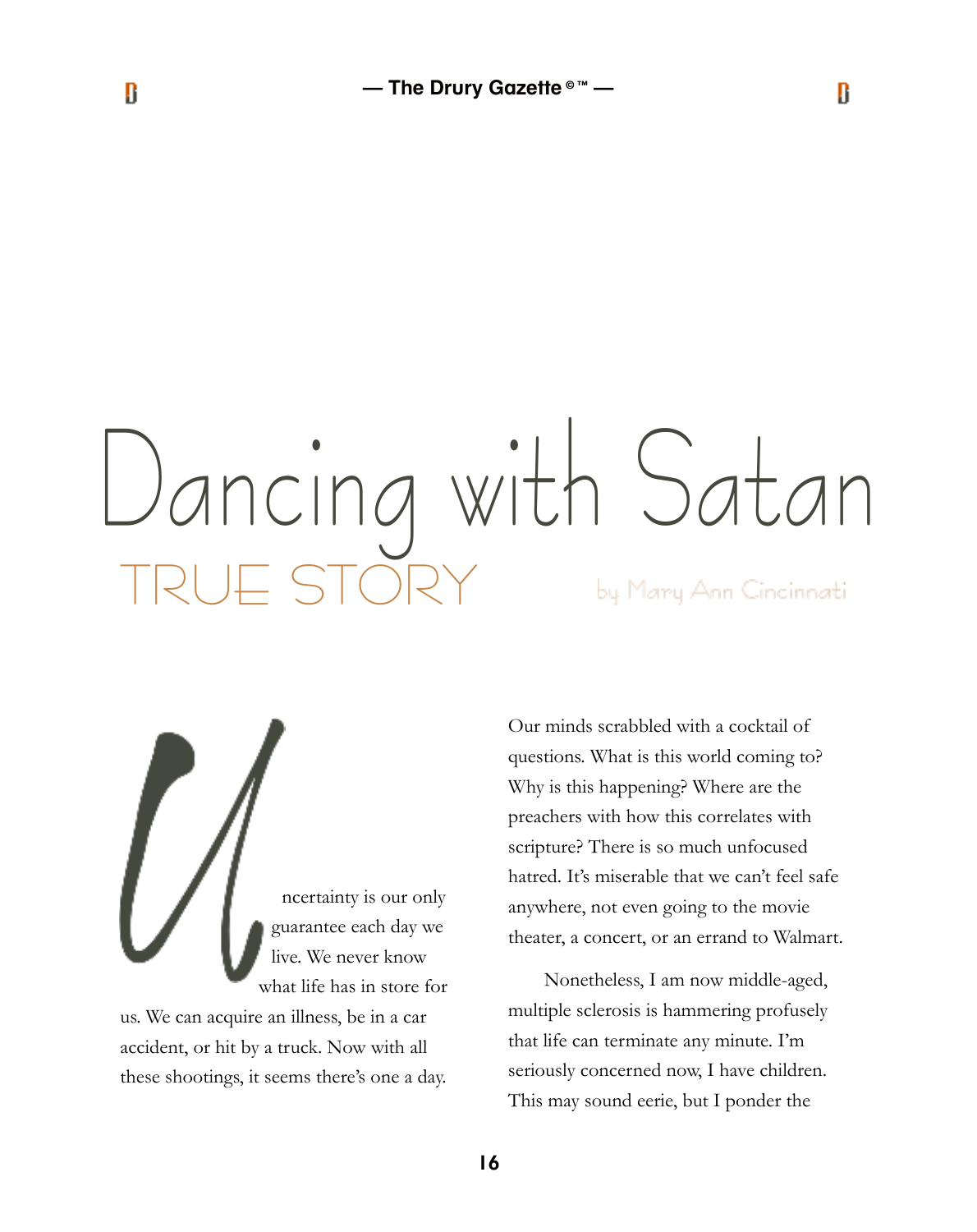## TRUE STORY Dancing with Satan

ncertainty is our only guarantee each day we live. We never know what life has in store for us. We can acquire an illness, be in a car

accident, or hit by a truck. Now with all these shootings, it seems there's one a day.

П

Our minds scrabbled with a cocktail of questions. What is this world coming to? Why is this happening? Where are the preachers with how this correlates with scripture? There is so much unfocused hatred. It's miserable that we can't feel safe anywhere, not even going to the movie theater, a concert, or an errand to Walmart.

П

Nonetheless, I am now middle-aged, multiple sclerosis is hammering profusely that life can terminate any minute. I'm seriously concerned now, I have children. This may sound eerie, but I ponder the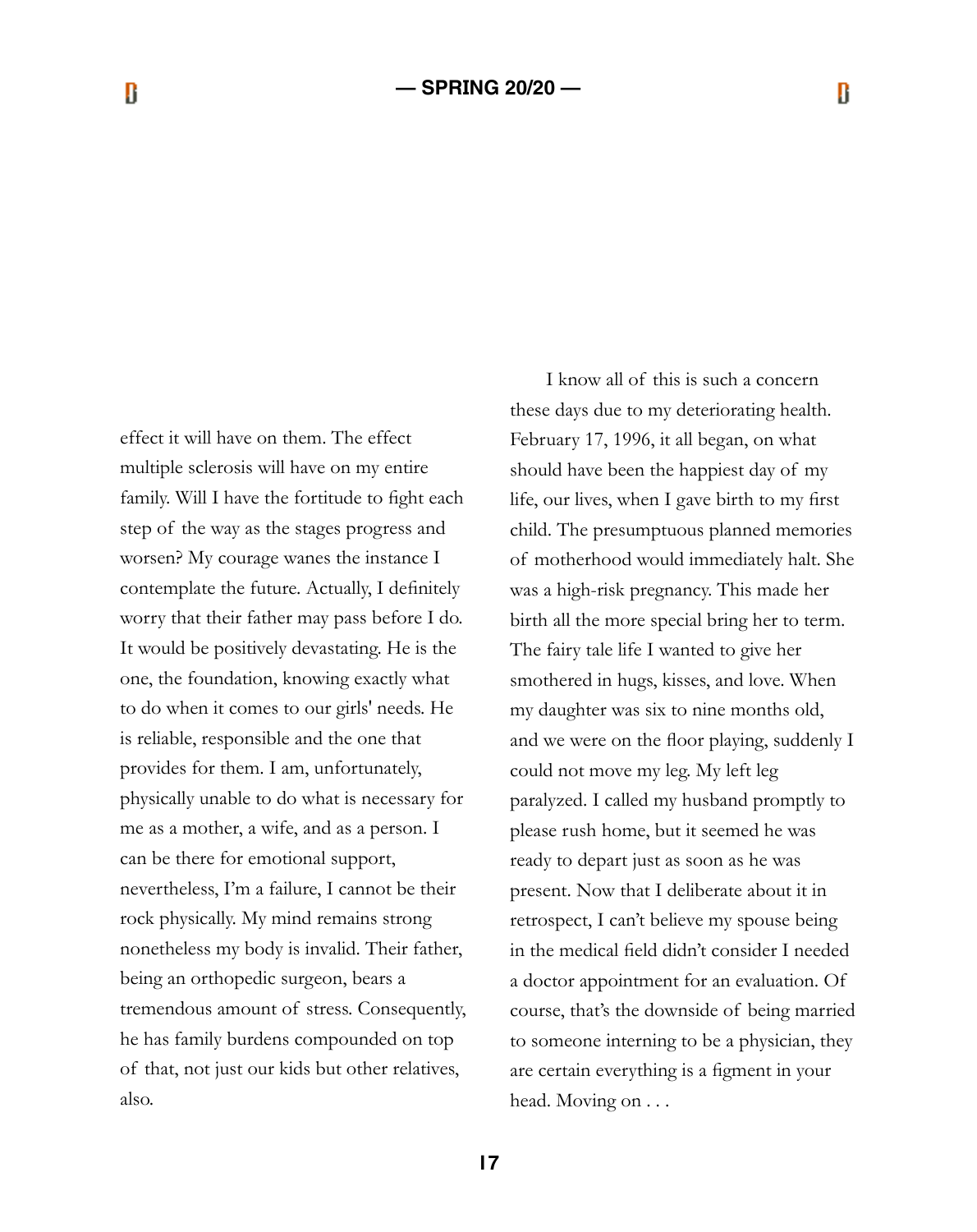effect it will have on them. The effect multiple sclerosis will have on my entire family. Will I have the fortitude to fight each step of the way as the stages progress and worsen? My courage wanes the instance I contemplate the future. Actually, I definitely worry that their father may pass before I do. It would be positively devastating. He is the one, the foundation, knowing exactly what to do when it comes to our girls' needs. He is reliable, responsible and the one that provides for them. I am, unfortunately, physically unable to do what is necessary for me as a mother, a wife, and as a person. I can be there for emotional support, nevertheless, I'm a failure, I cannot be their rock physically. My mind remains strong nonetheless my body is invalid. Their father, being an orthopedic surgeon, bears a tremendous amount of stress. Consequently, he has family burdens compounded on top of that, not just our kids but other relatives, also.

I know all of this is such a concern these days due to my deteriorating health. February 17, 1996, it all began, on what should have been the happiest day of my life, our lives, when I gave birth to my first child. The presumptuous planned memories of motherhood would immediately halt. She was a high-risk pregnancy. This made her birth all the more special bring her to term. The fairy tale life I wanted to give her smothered in hugs, kisses, and love. When my daughter was six to nine months old, and we were on the floor playing, suddenly I could not move my leg. My left leg paralyzed. I called my husband promptly to please rush home, but it seemed he was ready to depart just as soon as he was present. Now that I deliberate about it in retrospect, I can't believe my spouse being in the medical field didn't consider I needed a doctor appointment for an evaluation. Of course, that's the downside of being married to someone interning to be a physician, they are certain everything is a figment in your head. Moving on . . .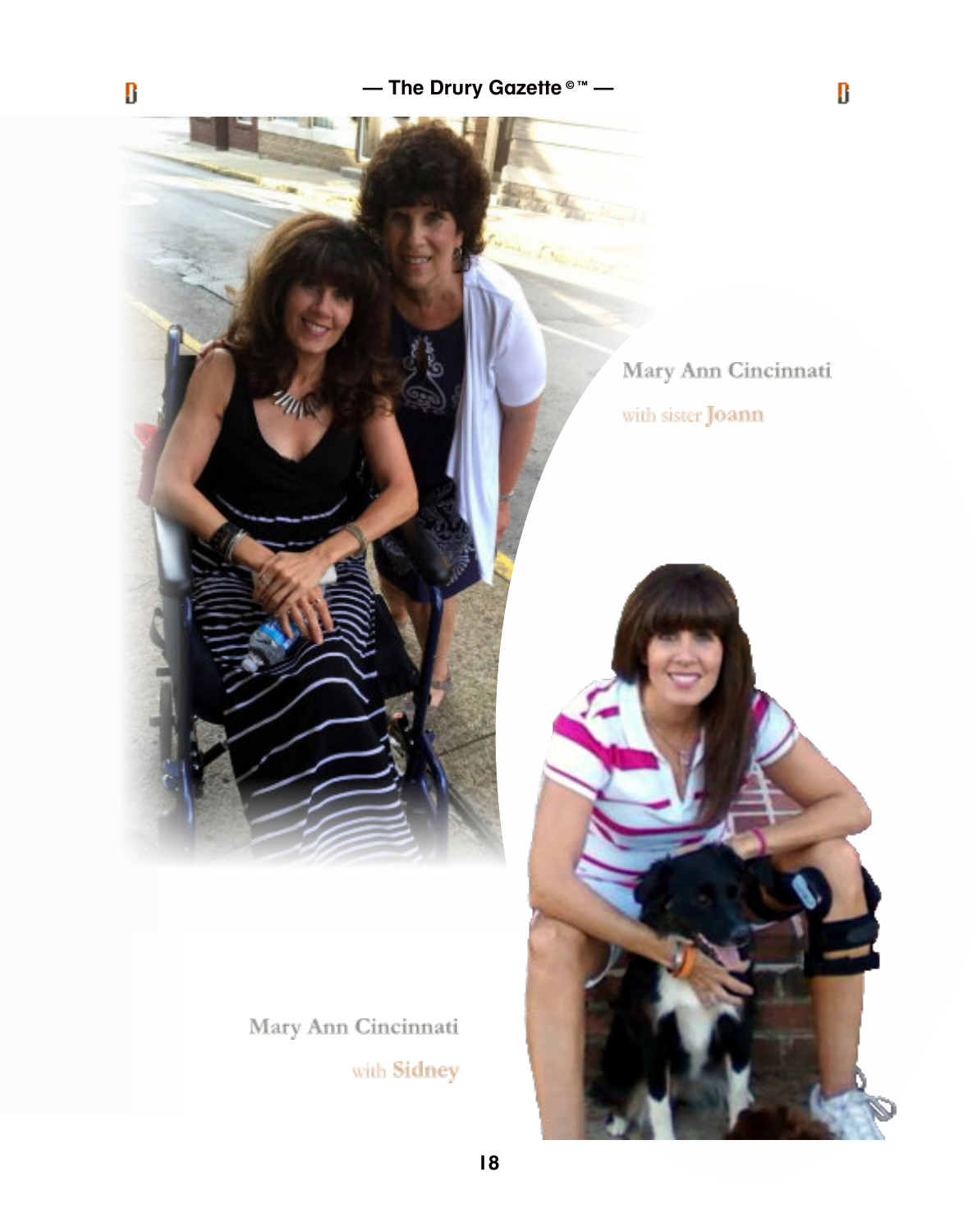## — The Drury Gazette®<sup>™</sup> —

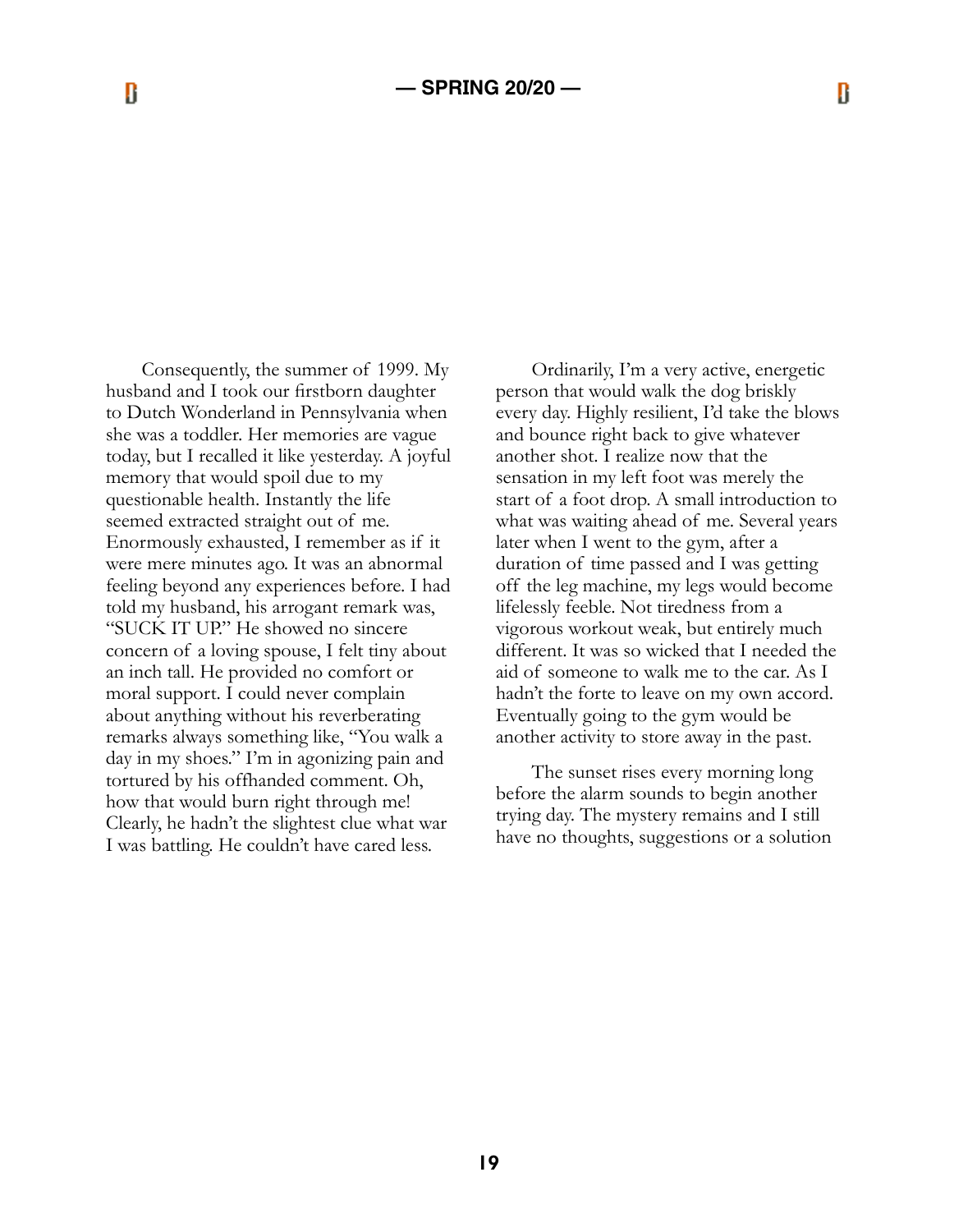П

Consequently, the summer of 1999. My husband and I took our firstborn daughter to Dutch Wonderland in Pennsylvania when she was a toddler. Her memories are vague today, but I recalled it like yesterday. A joyful memory that would spoil due to my questionable health. Instantly the life seemed extracted straight out of me. Enormously exhausted, I remember as if it were mere minutes ago. It was an abnormal feeling beyond any experiences before. I had told my husband, his arrogant remark was, "SUCK IT UP." He showed no sincere concern of a loving spouse, I felt tiny about an inch tall. He provided no comfort or moral support. I could never complain about anything without his reverberating remarks always something like, "You walk a day in my shoes." I'm in agonizing pain and tortured by his offhanded comment. Oh, how that would burn right through me! Clearly, he hadn't the slightest clue what war I was battling. He couldn't have cared less.

Ordinarily, I'm a very active, energetic person that would walk the dog briskly every day. Highly resilient, I'd take the blows and bounce right back to give whatever another shot. I realize now that the sensation in my left foot was merely the start of a foot drop. A small introduction to what was waiting ahead of me. Several years later when I went to the gym, after a duration of time passed and I was getting off the leg machine, my legs would become lifelessly feeble. Not tiredness from a vigorous workout weak, but entirely much different. It was so wicked that I needed the aid of someone to walk me to the car. As I hadn't the forte to leave on my own accord. Eventually going to the gym would be another activity to store away in the past.

The sunset rises every morning long before the alarm sounds to begin another trying day. The mystery remains and I still have no thoughts, suggestions or a solution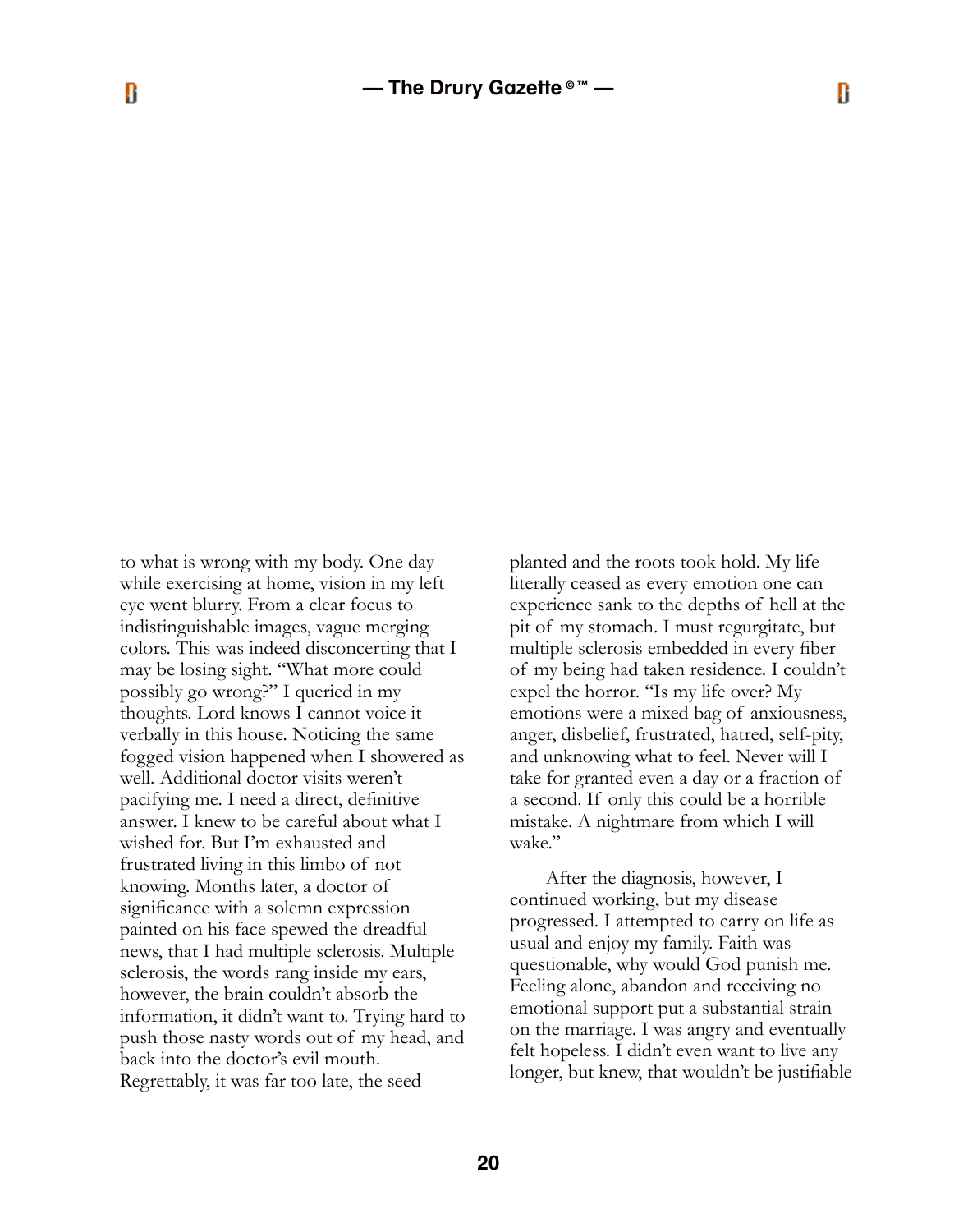to what is wrong with my body. One day while exercising at home, vision in my left eye went blurry. From a clear focus to indistinguishable images, vague merging colors. This was indeed disconcerting that I may be losing sight. "What more could possibly go wrong?" I queried in my thoughts. Lord knows I cannot voice it verbally in this house. Noticing the same fogged vision happened when I showered as well. Additional doctor visits weren't pacifying me. I need a direct, definitive answer. I knew to be careful about what I wished for. But I'm exhausted and frustrated living in this limbo of not knowing. Months later, a doctor of significance with a solemn expression painted on his face spewed the dreadful news, that I had multiple sclerosis. Multiple sclerosis, the words rang inside my ears, however, the brain couldn't absorb the information, it didn't want to. Trying hard to push those nasty words out of my head, and back into the doctor's evil mouth. Regrettably, it was far too late, the seed

П

planted and the roots took hold. My life literally ceased as every emotion one can experience sank to the depths of hell at the pit of my stomach. I must regurgitate, but multiple sclerosis embedded in every fiber of my being had taken residence. I couldn't expel the horror. "Is my life over? My emotions were a mixed bag of anxiousness, anger, disbelief, frustrated, hatred, self-pity, and unknowing what to feel. Never will I take for granted even a day or a fraction of a second. If only this could be a horrible mistake. A nightmare from which I will wake."

After the diagnosis, however, I continued working, but my disease progressed. I attempted to carry on life as usual and enjoy my family. Faith was questionable, why would God punish me. Feeling alone, abandon and receiving no emotional support put a substantial strain on the marriage. I was angry and eventually felt hopeless. I didn't even want to live any longer, but knew, that wouldn't be justifiable